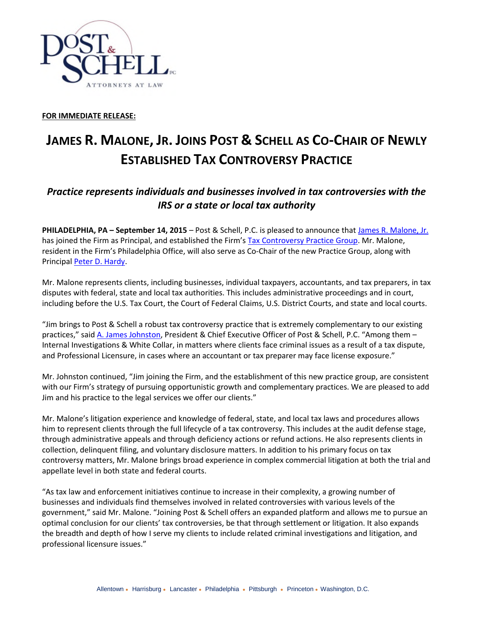

## **FOR IMMEDIATE RELEASE:**

## **JAMES R. MALONE, JR. JOINS POST & SCHELL AS CO-CHAIR OF NEWLY ESTABLISHED TAX CONTROVERSY PRACTICE**

## *Practice represents individuals and businesses involved in tax controversies with the IRS or a state or local tax authority*

**PHILADELPHIA, PA – September 14, 2015** – Post & Schell, P.C. is pleased to announce that James R. Malone, Jr. has joined the Firm as Principal, and established the Firm's Tax Controversy Practice Group. Mr. Malone, resident in the Firm's Philadelphia Office, will also serve as Co-Chair of the new Practice Group, along with Principal Peter D. Hardy.

Mr. Malone represents clients, including businesses, individual taxpayers, accountants, and tax preparers, in tax disputes with federal, state and local tax authorities. This includes administrative proceedings and in court, including before the U.S. Tax Court, the Court of Federal Claims, U.S. District Courts, and state and local courts.

"Jim brings to Post & Schell a robust tax controversy practice that is extremely complementary to our existing practices," said A. James Johnston, President & Chief Executive Officer of Post & Schell, P.C. "Among them – Internal Investigations & White Collar, in matters where clients face criminal issues as a result of a tax dispute, and Professional Licensure, in cases where an accountant or tax preparer may face license exposure."

Mr. Johnston continued, "Jim joining the Firm, and the establishment of this new practice group, are consistent with our Firm's strategy of pursuing opportunistic growth and complementary practices. We are pleased to add Jim and his practice to the legal services we offer our clients."

Mr. Malone's litigation experience and knowledge of federal, state, and local tax laws and procedures allows him to represent clients through the full lifecycle of a tax controversy. This includes at the audit defense stage, through administrative appeals and through deficiency actions or refund actions. He also represents clients in collection, delinquent filing, and voluntary disclosure matters. In addition to his primary focus on tax controversy matters, Mr. Malone brings broad experience in complex commercial litigation at both the trial and appellate level in both state and federal courts.

"As tax law and enforcement initiatives continue to increase in their complexity, a growing number of businesses and individuals find themselves involved in related controversies with various levels of the government," said Mr. Malone. "Joining Post & Schell offers an expanded platform and allows me to pursue an optimal conclusion for our clients' tax controversies, be that through settlement or litigation. It also expands the breadth and depth of how I serve my clients to include related criminal investigations and litigation, and professional licensure issues."